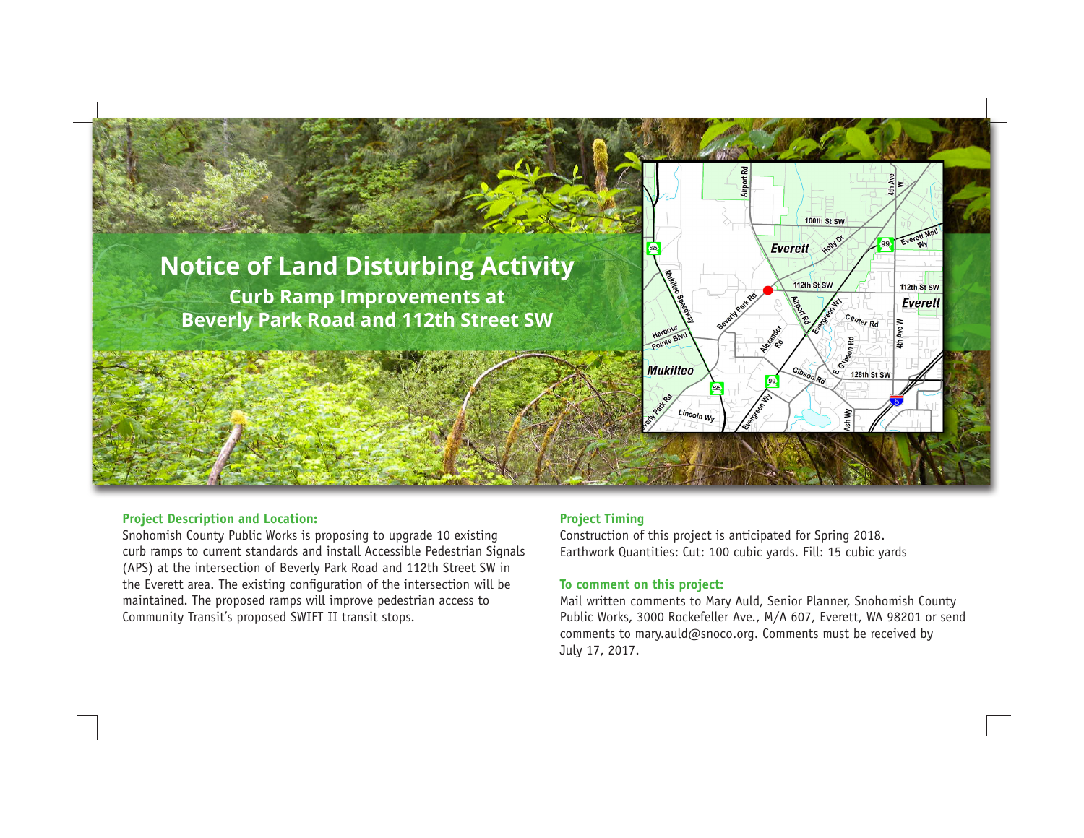

### **Project Description and Location:**

Snohomish County Public Works is proposing to upgrade 10 existing curb ramps to current standards and install Accessible Pedestrian Signals (APS) at the intersection of Beverly Park Road and 112th Street SW in the Everett area. The existing configuration of the intersection will be maintained. The proposed ramps will improve pedestrian access to Community Transit's proposed SWIFT II transit stops.

# **Project Timing**

Construction of this project is anticipated for Spring 2018. Earthwork Quantities: Cut: 100 cubic yards. Fill: 15 cubic yards

# **To comment on this project:**

Mail written comments to Mary Auld, Senior Planner, Snohomish County Public Works, 3000 Rockefeller Ave., M/A 607, Everett, WA 98201 or send comments to mary.auld@snoco.org. Comments must be received by July 17, 2017.